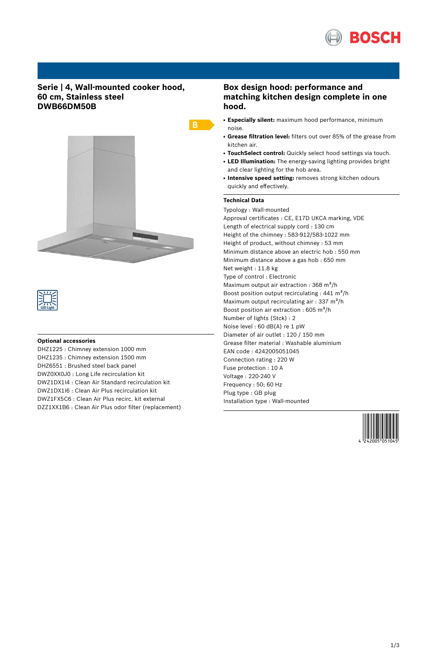

### **Serie | 4, Wall-mounted cooker hood, 60 cm, Stainless steel DWB66DM50B**





#### **Optional accessories**

DHZ1225 : Chimney extension 1000 mm DHZ1235 : Chimney extension 1500 mm DHZ6551 : Brushed steel back panel DWZ0XX0J0 : Long Life recirculation kit DWZ1DX1I4 : Clean Air Standard recirculation kit DWZ1DX1I6 : Clean Air Plus recirculation kit DWZ1FX5C6 : Clean Air Plus recirc. kit external DZZ1XX1B6 : Clean Air Plus odor filter (replacement)

## **Box design hood: performance and matching kitchen design complete in one hood.**

- **Especially silent:** maximum hood performance, minimum noise.
- **Grease filtration level:** filters out over 85% of the grease from kitchen air.
- **TouchSelect control:** Quickly select hood settings via touch.
- LED Illumination: The energy-saving lighting provides bright and clear lighting for the hob area.
- **Intensive speed setting:** removes strong kitchen odours quickly and effectively.

#### **Technical Data**

Typology : Wall-mounted Approval certificates : CE, E17D UKCA marking, VDE Length of electrical supply cord : 130 cm Height of the chimney : 583-912/583-1022 mm Height of product, without chimney : 53 mm Minimum distance above an electric hob : 550 mm Minimum distance above a gas hob : 650 mm Net weight : 11.8 kg Type of control : Electronic Maximum output air extraction :  $368 \text{ m}^3/\text{h}$ Boost position output recirculating :  $441 \text{ m}^3\text{/h}$ Maximum output recirculating air :  $337 \text{ m}^3\text{/h}$ Boost position air extraction : 605 m<sup>3</sup>/h Number of lights (Stck) : 2 Noise level : 60 dB(A) re 1 pW Diameter of air outlet : 120 / 150 mm Grease filter material : Washable aluminium EAN code : 4242005051045 Connection rating : 220 W Fuse protection : 10 A Voltage : 220-240 V Frequency : 50; 60 Hz Plug type : GB plug Installation type : Wall-mounted

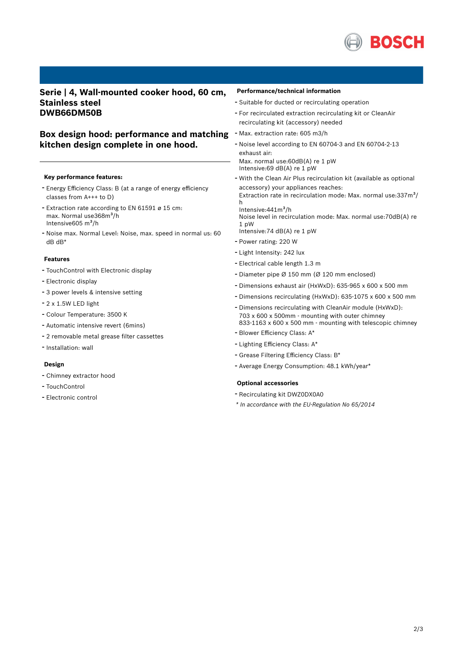

### **Serie | 4, Wall-mounted cooker hood, 60 cm, Stainless steel DWB66DM50B**

# **Box design hood: performance and matching** - Max. extraction rate: <sup>605</sup> m3/h **kitchen design complete in one hood.**

#### **Key performance features:**

- Energy Efficiency Class: <sup>B</sup> (at <sup>a</sup> range of energy efficiency classes from A+++ to D)
- Extraction rate according to EN <sup>61591</sup> <sup>ø</sup> <sup>15</sup> cm: max. Normal use368m<sup>3</sup>/h Intensive $605 \text{ m}^3\text{/h}$
- Noise max. Normal Level: Noise, max. speed in normal us: <sup>60</sup> dB dB\*

#### **Features**

- TouchControl with Electronic display
- Electronic display
- <sup>3</sup> power levels & intensive setting
- 2 x 1.5W LED light
- Colour Temperature: <sup>3500</sup> <sup>K</sup>
- Automatic intensive revert (6mins)
- <sup>2</sup> removable metal grease filter cassettes
- Installation: wall

#### **Design**

- Chimney extractor hood
- TouchControl
- Electronic control

#### **Performance/technical information**

- Suitable for ducted or recirculating operation
- For recirculated extraction recirculating kit or CleanAir recirculating kit (accessory) needed
- 
- Noise level according to EN 60704-3 and EN 60704-2-13 exhaust air: Max. normal use:60dB(A) re 1 pW Intensive: 69 dB(A) re  $1$  pW
- With the Clean Air Plus recirculation kit (available as optional accessory) your appliances reaches: Extraction rate in recirculation mode: Max. normal use: $337m^3/$

h Intensive: $441m<sup>3</sup>/h$ 

Noise level in recirculation mode: Max. normal use:70dB(A) re 1 pW

- Intensive:74 dB(A) re 1 pW
- Power rating: <sup>220</sup> <sup>W</sup>
- Light Intensity: <sup>242</sup> lux
- Electrical cable length 1.3 <sup>m</sup>
- Diameter pipe <sup>Ø</sup> <sup>150</sup> mm (Ø <sup>120</sup> mm enclosed)
- Dimensions exhaust air (HxWxD): 635-965 <sup>x</sup> <sup>600</sup> <sup>x</sup> <sup>500</sup> mm
- Dimensions recirculating (HxWxD): 635-1075 <sup>x</sup> <sup>600</sup> <sup>x</sup> <sup>500</sup> mm
- Dimensions recirculating with CleanAir module (HxWxD): 703 x 600 x 500mm - mounting with outer chimney 833-1163 x 600 x 500 mm - mounting with telescopic chimney
- Blower Efficiency Class: A\*
- Lighting Efficiency Class: A\*
- Grease Filtering Efficiency Class: B\*
- Average Energy Consumption: 48.1 kWh/year\*

#### **Optional accessories**

- Recirculating kit DWZ0DX0A0
- *\* In accordance with the EU-Regulation No 65/2014*